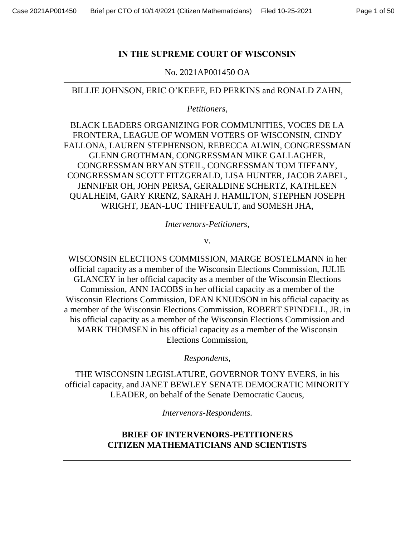# **IN THE SUPREME COURT OF WISCONSIN**

No. 2021AP001450 OA

BILLIE JOHNSON, ERIC O'KEEFE, ED PERKINS and RONALD ZAHN,

*Petitioners,* 

BLACK LEADERS ORGANIZING FOR COMMUNITIES, VOCES DE LA FRONTERA, LEAGUE OF WOMEN VOTERS OF WISCONSIN, CINDY FALLONA, LAUREN STEPHENSON, REBECCA ALWIN, CONGRESSMAN GLENN GROTHMAN, CONGRESSMAN MIKE GALLAGHER, CONGRESSMAN BRYAN STEIL, CONGRESSMAN TOM TIFFANY, CONGRESSMAN SCOTT FITZGERALD, LISA HUNTER, JACOB ZABEL, JENNIFER OH, JOHN PERSA, GERALDINE SCHERTZ, KATHLEEN QUALHEIM, GARY KRENZ, SARAH J. HAMILTON, STEPHEN JOSEPH WRIGHT, JEAN-LUC THIFFEAULT, and SOMESH JHA,

*Intervenors-Petitioners,*

v.

WISCONSIN ELECTIONS COMMISSION, MARGE BOSTELMANN in her official capacity as a member of the Wisconsin Elections Commission, JULIE GLANCEY in her official capacity as a member of the Wisconsin Elections Commission, ANN JACOBS in her official capacity as a member of the Wisconsin Elections Commission, DEAN KNUDSON in his official capacity as a member of the Wisconsin Elections Commission, ROBERT SPINDELL, JR. in his official capacity as a member of the Wisconsin Elections Commission and MARK THOMSEN in his official capacity as a member of the Wisconsin Elections Commission,

*Respondents,*

THE WISCONSIN LEGISLATURE, GOVERNOR TONY EVERS, in his official capacity, and JANET BEWLEY SENATE DEMOCRATIC MINORITY LEADER, on behalf of the Senate Democratic Caucus,

*Intervenors-Respondents.*

# **BRIEF OF INTERVENORS-PETITIONERS CITIZEN MATHEMATICIANS AND SCIENTISTS**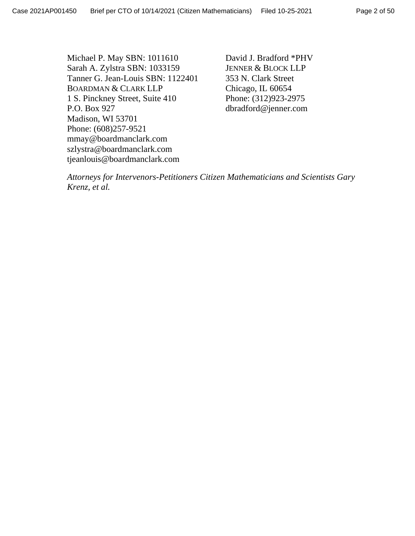Michael P. May SBN: 1011610 Sarah A. Zylstra SBN: 1033159 Tanner G. Jean-Louis SBN: 1122401 BOARDMAN & CLARK LLP 1 S. Pinckney Street, Suite 410 P.O. Box 927 Madison, WI 53701 Phone: (608)257-9521 mmay@boardmanclark.com szlystra@boardmanclark.com tjeanlouis@boardmanclark.com

David J. Bradford \*PHV JENNER & BLOCK LLP 353 N. Clark Street Chicago, IL 60654 Phone: (312)923-2975 dbradford@jenner.com

*Attorneys for Intervenors-Petitioners Citizen Mathematicians and Scientists Gary Krenz, et al.*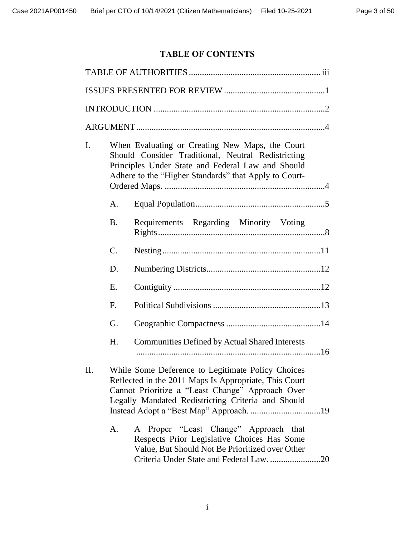# **TABLE OF CONTENTS**

| I. |             | When Evaluating or Creating New Maps, the Court<br>Should Consider Traditional, Neutral Redistricting<br>Principles Under State and Federal Law and Should<br>Adhere to the "Higher Standards" that Apply to Court-  |
|----|-------------|----------------------------------------------------------------------------------------------------------------------------------------------------------------------------------------------------------------------|
|    | A.          |                                                                                                                                                                                                                      |
|    | <b>B.</b>   | Requirements Regarding Minority Voting                                                                                                                                                                               |
|    | C.          |                                                                                                                                                                                                                      |
|    | D.          |                                                                                                                                                                                                                      |
|    | Ε.          |                                                                                                                                                                                                                      |
|    | $F_{\cdot}$ |                                                                                                                                                                                                                      |
|    | G.          |                                                                                                                                                                                                                      |
|    | Η.          | <b>Communities Defined by Actual Shared Interests</b>                                                                                                                                                                |
| Π. |             | While Some Deference to Legitimate Policy Choices<br>Reflected in the 2011 Maps Is Appropriate, This Court<br>Cannot Prioritize a "Least Change" Approach Over<br>Legally Mandated Redistricting Criteria and Should |
|    | A.          | A Proper "Least Change" Approach that<br>Respects Prior Legislative Choices Has Some<br>Value, But Should Not Be Prioritized over Other<br>Criteria Under State and Federal Law. 20                                  |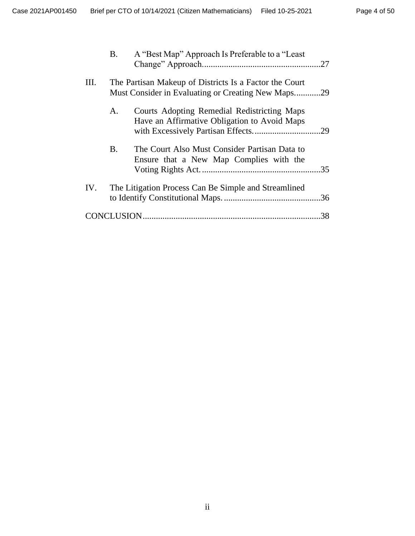|     | B.        | A "Best Map" Approach Is Preferable to a "Least                                                              |    |
|-----|-----------|--------------------------------------------------------------------------------------------------------------|----|
| Ш.  |           | The Partisan Makeup of Districts Is a Factor the Court<br>Must Consider in Evaluating or Creating New Maps29 |    |
|     | A.        | Courts Adopting Remedial Redistricting Maps<br>Have an Affirmative Obligation to Avoid Maps                  |    |
|     | <b>B.</b> | The Court Also Must Consider Partisan Data to<br>Ensure that a New Map Complies with the                     |    |
| IV. |           | The Litigation Process Can Be Simple and Streamlined                                                         |    |
|     |           |                                                                                                              | 38 |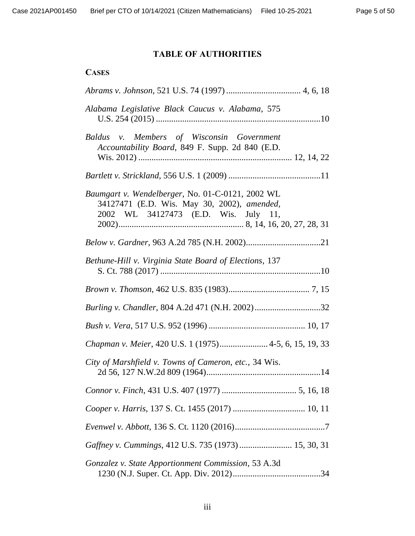# **TABLE OF AUTHORITIES**

# <span id="page-4-0"></span>**CASES**

| Alabama Legislative Black Caucus v. Alabama, 575                                                                                        |
|-----------------------------------------------------------------------------------------------------------------------------------------|
| Baldus v. Members of Wisconsin Government<br>Accountability Board, 849 F. Supp. 2d 840 (E.D.                                            |
|                                                                                                                                         |
| Baumgart v. Wendelberger, No. 01-C-0121, 2002 WL<br>34127471 (E.D. Wis. May 30, 2002), amended,<br>2002 WL 34127473 (E.D. Wis. July 11, |
|                                                                                                                                         |
| Bethune-Hill v. Virginia State Board of Elections, 137                                                                                  |
|                                                                                                                                         |
|                                                                                                                                         |
|                                                                                                                                         |
| Chapman v. Meier, 420 U.S. 1 (1975) 4-5, 6, 15, 19, 33                                                                                  |
| City of Marshfield v. Towns of Cameron, etc., 34 Wis.                                                                                   |
|                                                                                                                                         |
|                                                                                                                                         |
|                                                                                                                                         |
| Gaffney v. Cummings, 412 U.S. 735 (1973)  15, 30, 31                                                                                    |
| Gonzalez v. State Apportionment Commission, 53 A.3d                                                                                     |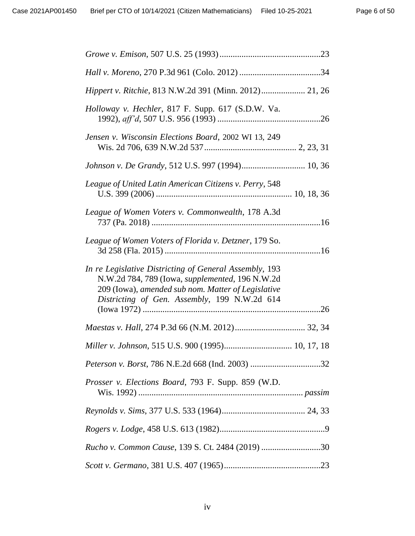| Hippert v. Ritchie, 813 N.W.2d 391 (Minn. 2012) 21, 26                                                                                                                                                          |  |
|-----------------------------------------------------------------------------------------------------------------------------------------------------------------------------------------------------------------|--|
| Holloway v. Hechler, 817 F. Supp. 617 (S.D.W. Va.                                                                                                                                                               |  |
| Jensen v. Wisconsin Elections Board, 2002 WI 13, 249                                                                                                                                                            |  |
| Johnson v. De Grandy, 512 U.S. 997 (1994) 10, 36                                                                                                                                                                |  |
| League of United Latin American Citizens v. Perry, 548                                                                                                                                                          |  |
| League of Women Voters v. Commonwealth, 178 A.3d                                                                                                                                                                |  |
| League of Women Voters of Florida v. Detzner, 179 So.                                                                                                                                                           |  |
| In re Legislative Districting of General Assembly, 193<br>N.W.2d 784, 789 (Iowa, supplemented, 196 N.W.2d<br>209 (Iowa), amended sub nom. Matter of Legislative<br>Districting of Gen. Assembly, 199 N.W.2d 614 |  |
|                                                                                                                                                                                                                 |  |
| Miller v. Johnson, 515 U.S. 900 (1995) 10, 17, 18                                                                                                                                                               |  |
|                                                                                                                                                                                                                 |  |
|                                                                                                                                                                                                                 |  |
| <i>Prosser v. Elections Board, 793 F. Supp. 859 (W.D.</i>                                                                                                                                                       |  |
|                                                                                                                                                                                                                 |  |
|                                                                                                                                                                                                                 |  |
| Rucho v. Common Cause, 139 S. Ct. 2484 (2019) 30                                                                                                                                                                |  |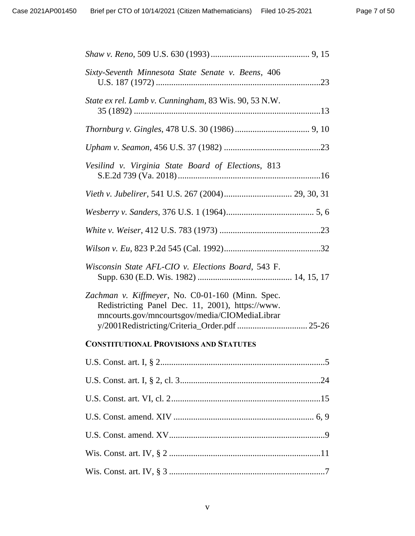| Sixty-Seventh Minnesota State Senate v. Beens, 406                                                                                                                                                     |  |
|--------------------------------------------------------------------------------------------------------------------------------------------------------------------------------------------------------|--|
| State ex rel. Lamb v. Cunningham, 83 Wis. 90, 53 N.W.                                                                                                                                                  |  |
|                                                                                                                                                                                                        |  |
|                                                                                                                                                                                                        |  |
| Vesilind v. Virginia State Board of Elections, 813                                                                                                                                                     |  |
|                                                                                                                                                                                                        |  |
|                                                                                                                                                                                                        |  |
|                                                                                                                                                                                                        |  |
|                                                                                                                                                                                                        |  |
| Wisconsin State AFL-CIO v. Elections Board, 543 F.                                                                                                                                                     |  |
| Zachman v. Kiffmeyer, No. C0-01-160 (Minn. Spec.<br>Redistricting Panel Dec. 11, 2001), https://www.<br>mncourts.gov/mncourtsgov/media/CIOMediaLibrar<br>y/2001Redistricting/Criteria_Order.pdf  25-26 |  |
| <b>CONSTITUTIONAL PROVISIONS AND STATUTES</b>                                                                                                                                                          |  |
|                                                                                                                                                                                                        |  |
|                                                                                                                                                                                                        |  |
|                                                                                                                                                                                                        |  |
|                                                                                                                                                                                                        |  |
|                                                                                                                                                                                                        |  |
|                                                                                                                                                                                                        |  |
|                                                                                                                                                                                                        |  |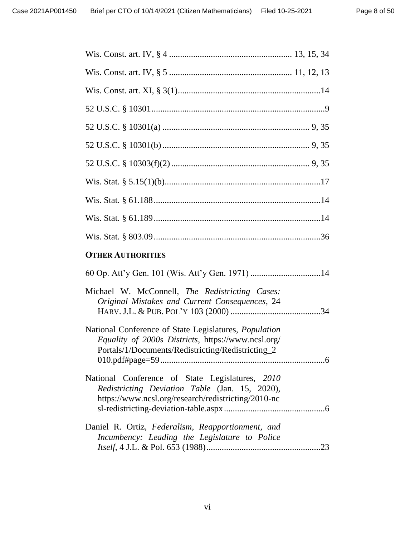| <b>OTHER AUTHORITIES</b>                                                                                                                                                |
|-------------------------------------------------------------------------------------------------------------------------------------------------------------------------|
|                                                                                                                                                                         |
| Michael W. McConnell, The Redistricting Cases:<br>Original Mistakes and Current Consequences, 24                                                                        |
| National Conference of State Legislatures, <i>Population</i><br>Equality of 2000s Districts, https://www.ncsl.org/<br>Portals/1/Documents/Redistricting/Redistricting_2 |
| National Conference of State Legislatures, 2010<br>Redistricting Deviation Table (Jan. 15, 2020),<br>https://www.ncsl.org/research/redistricting/2010-nc                |
| Daniel R. Ortiz, Federalism, Reapportionment, and<br>Incumbency: Leading the Legislature to Police                                                                      |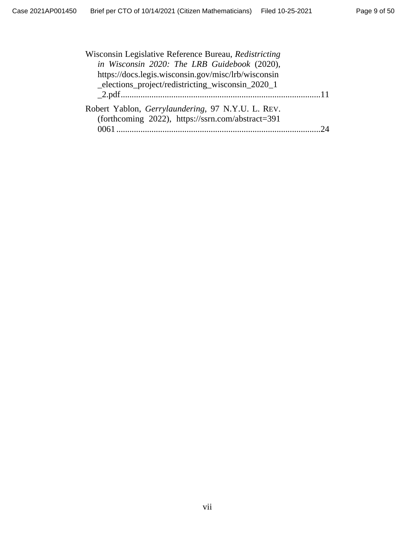| Wisconsin Legislative Reference Bureau, Redistricting                                                  |  |
|--------------------------------------------------------------------------------------------------------|--|
| in Wisconsin 2020: The LRB Guidebook (2020),                                                           |  |
| https://docs.legis.wisconsin.gov/misc/lrb/wisconsin                                                    |  |
| elections project/redistricting wisconsin 2020 1                                                       |  |
|                                                                                                        |  |
| Robert Yablon, Gerrylaundering, 97 N.Y.U. L. REV.<br>(forthcoming 2022), https://ssrn.com/abstract=391 |  |
| 0061                                                                                                   |  |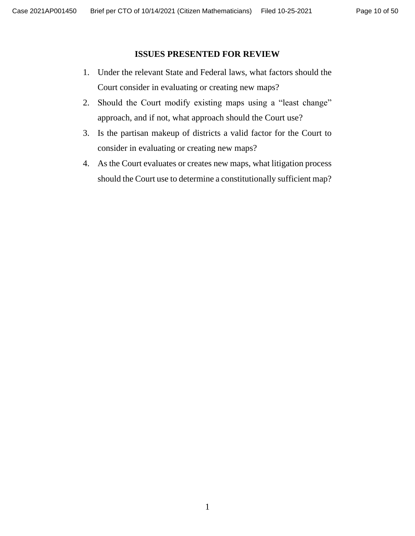#### **ISSUES PRESENTED FOR REVIEW**

- <span id="page-9-0"></span>1. Under the relevant State and Federal laws, what factors should the Court consider in evaluating or creating new maps?
- 2. Should the Court modify existing maps using a "least change" approach, and if not, what approach should the Court use?
- 3. Is the partisan makeup of districts a valid factor for the Court to consider in evaluating or creating new maps?
- 4. As the Court evaluates or creates new maps, what litigation process should the Court use to determine a constitutionally sufficient map?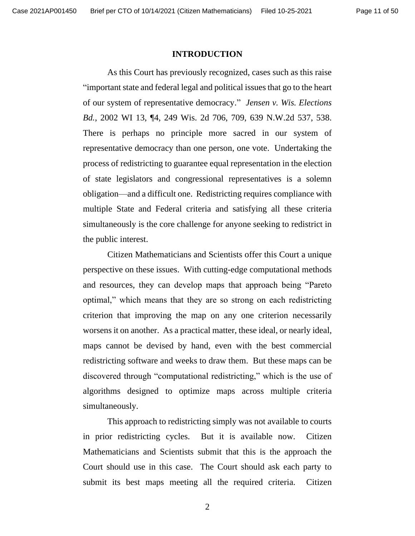#### **INTRODUCTION**

<span id="page-10-0"></span>As this Court has previously recognized, cases such as this raise "important state and federal legal and political issues that go to the heart of our system of representative democracy." *Jensen v. Wis. Elections Bd.*, 2002 WI 13, ¶4, 249 Wis. 2d 706, 709, 639 N.W.2d 537, 538. There is perhaps no principle more sacred in our system of representative democracy than one person, one vote. Undertaking the process of redistricting to guarantee equal representation in the election of state legislators and congressional representatives is a solemn obligation—and a difficult one. Redistricting requires compliance with multiple State and Federal criteria and satisfying all these criteria simultaneously is the core challenge for anyone seeking to redistrict in the public interest.

Citizen Mathematicians and Scientists offer this Court a unique perspective on these issues. With cutting-edge computational methods and resources, they can develop maps that approach being "Pareto optimal," which means that they are so strong on each redistricting criterion that improving the map on any one criterion necessarily worsens it on another. As a practical matter, these ideal, or nearly ideal, maps cannot be devised by hand, even with the best commercial redistricting software and weeks to draw them. But these maps can be discovered through "computational redistricting," which is the use of algorithms designed to optimize maps across multiple criteria simultaneously.

This approach to redistricting simply was not available to courts in prior redistricting cycles. But it is available now. Citizen Mathematicians and Scientists submit that this is the approach the Court should use in this case. The Court should ask each party to submit its best maps meeting all the required criteria. Citizen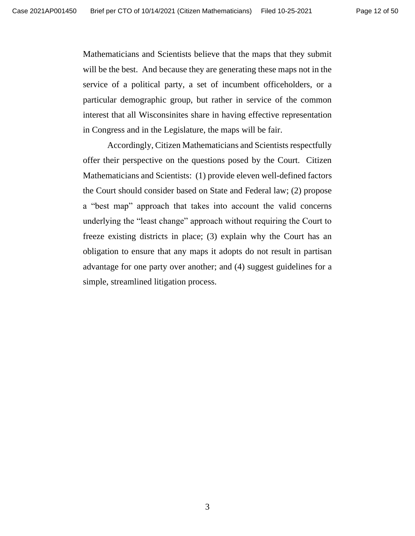Mathematicians and Scientists believe that the maps that they submit will be the best. And because they are generating these maps not in the service of a political party, a set of incumbent officeholders, or a particular demographic group, but rather in service of the common interest that all Wisconsinites share in having effective representation in Congress and in the Legislature, the maps will be fair.

Accordingly, Citizen Mathematicians and Scientists respectfully offer their perspective on the questions posed by the Court. Citizen Mathematicians and Scientists: (1) provide eleven well-defined factors the Court should consider based on State and Federal law; (2) propose a "best map" approach that takes into account the valid concerns underlying the "least change" approach without requiring the Court to freeze existing districts in place; (3) explain why the Court has an obligation to ensure that any maps it adopts do not result in partisan advantage for one party over another; and (4) suggest guidelines for a simple, streamlined litigation process.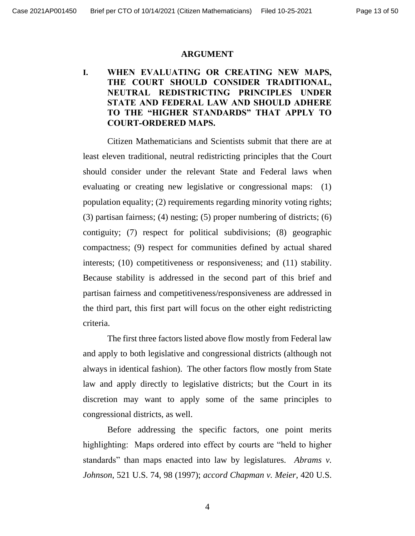#### **ARGUMENT**

## <span id="page-12-1"></span><span id="page-12-0"></span>**I. WHEN EVALUATING OR CREATING NEW MAPS, THE COURT SHOULD CONSIDER TRADITIONAL, NEUTRAL REDISTRICTING PRINCIPLES UNDER STATE AND FEDERAL LAW AND SHOULD ADHERE TO THE "HIGHER STANDARDS" THAT APPLY TO COURT-ORDERED MAPS.**

Citizen Mathematicians and Scientists submit that there are at least eleven traditional, neutral redistricting principles that the Court should consider under the relevant State and Federal laws when evaluating or creating new legislative or congressional maps: (1) population equality; (2) requirements regarding minority voting rights; (3) partisan fairness; (4) nesting; (5) proper numbering of districts; (6) contiguity; (7) respect for political subdivisions; (8) geographic compactness; (9) respect for communities defined by actual shared interests; (10) competitiveness or responsiveness; and (11) stability. Because stability is addressed in the second part of this brief and partisan fairness and competitiveness/responsiveness are addressed in the third part, this first part will focus on the other eight redistricting criteria.

The first three factors listed above flow mostly from Federal law and apply to both legislative and congressional districts (although not always in identical fashion). The other factors flow mostly from State law and apply directly to legislative districts; but the Court in its discretion may want to apply some of the same principles to congressional districts, as well.

Before addressing the specific factors, one point merits highlighting: Maps ordered into effect by courts are "held to higher standards" than maps enacted into law by legislatures. *Abrams v. Johnson*, 521 U.S. 74, 98 (1997); *accord Chapman v. Meier*, 420 U.S.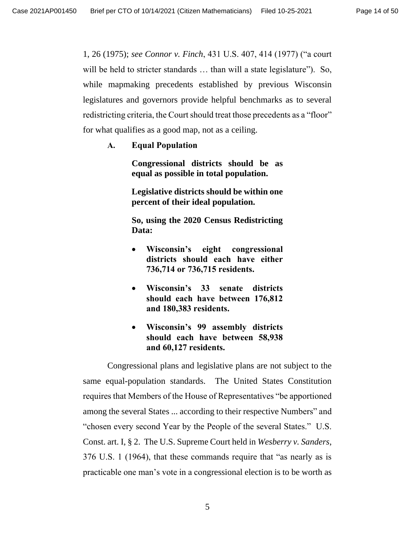1, 26 (1975); *see Connor v. Finch*, 431 U.S. 407, 414 (1977) ("a court will be held to stricter standards ... than will a state legislature"). So, while mapmaking precedents established by previous Wisconsin legislatures and governors provide helpful benchmarks as to several redistricting criteria, the Court should treat those precedents as a "floor" for what qualifies as a good map, not as a ceiling.

<span id="page-13-0"></span>**A. Equal Population**

**Congressional districts should be as equal as possible in total population.** 

**Legislative districts should be within one percent of their ideal population.** 

**So, using the 2020 Census Redistricting Data:**

- **Wisconsin's eight congressional districts should each have either 736,714 or 736,715 residents.**
- **Wisconsin's 33 senate districts should each have between 176,812 and 180,383 residents.**
- **Wisconsin's 99 assembly districts should each have between 58,938 and 60,127 residents.**

Congressional plans and legislative plans are not subject to the same equal-population standards. The United States Constitution requires that Members of the House of Representatives "be apportioned among the several States ... according to their respective Numbers" and "chosen every second Year by the People of the several States." U.S. Const. art. I, § 2. The U.S. Supreme Court held in *Wesberry v. Sanders*, 376 U.S. 1 (1964), that these commands require that "as nearly as is practicable one man's vote in a congressional election is to be worth as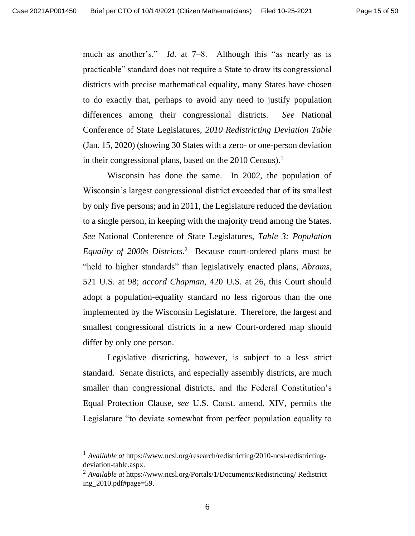much as another's." *Id*. at 7–8. Although this "as nearly as is practicable" standard does not require a State to draw its congressional districts with precise mathematical equality, many States have chosen to do exactly that, perhaps to avoid any need to justify population differences among their congressional districts. *See* National Conference of State Legislatures, *2010 Redistricting Deviation Table* (Jan. 15, 2020) (showing 30 States with a zero- or one-person deviation in their congressional plans, based on the  $2010$  Census).<sup>1</sup>

Wisconsin has done the same. In 2002, the population of Wisconsin's largest congressional district exceeded that of its smallest by only five persons; and in 2011, the Legislature reduced the deviation to a single person, in keeping with the majority trend among the States. *See* National Conference of State Legislatures, *Table 3: Population Equality of 2000s Districts*. <sup>2</sup> Because court-ordered plans must be "held to higher standards" than legislatively enacted plans, *Abrams*, 521 U.S. at 98; *accord Chapman*, 420 U.S. at 26, this Court should adopt a population-equality standard no less rigorous than the one implemented by the Wisconsin Legislature. Therefore, the largest and smallest congressional districts in a new Court-ordered map should differ by only one person.

Legislative districting, however, is subject to a less strict standard. Senate districts, and especially assembly districts, are much smaller than congressional districts, and the Federal Constitution's Equal Protection Clause, *see* U.S. Const. amend. XIV, permits the Legislature "to deviate somewhat from perfect population equality to

<sup>1</sup> *Available at* https://www.ncsl.org/research/redistricting/2010-ncsl-redistrictingdeviation-table.aspx.

<sup>2</sup> *Available at* <https://www.ncsl.org/Portals/1/Documents/Redistricting/> Redistrict ing\_2010.pdf#page=59.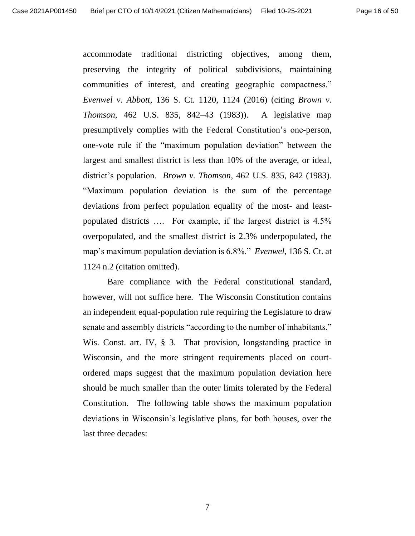accommodate traditional districting objectives, among them, preserving the integrity of political subdivisions, maintaining communities of interest, and creating geographic compactness." *Evenwel v. Abbott*, 136 S. Ct. 1120, 1124 (2016) (citing *Brown v. Thomson*, 462 U.S. 835, 842–43 (1983)). A legislative map presumptively complies with the Federal Constitution's one-person, one-vote rule if the "maximum population deviation" between the largest and smallest district is less than 10% of the average, or ideal, district's population. *Brown v. Thomson*, 462 U.S. 835, 842 (1983). "Maximum population deviation is the sum of the percentage deviations from perfect population equality of the most- and leastpopulated districts …. For example, if the largest district is 4.5% overpopulated, and the smallest district is 2.3% underpopulated, the map's maximum population deviation is 6.8%." *Evenwel*, 136 S. Ct. at 1124 n.2 (citation omitted).

Bare compliance with the Federal constitutional standard, however, will not suffice here. The Wisconsin Constitution contains an independent equal-population rule requiring the Legislature to draw senate and assembly districts "according to the number of inhabitants." Wis. Const. art. IV, § 3. That provision, longstanding practice in Wisconsin, and the more stringent requirements placed on courtordered maps suggest that the maximum population deviation here should be much smaller than the outer limits tolerated by the Federal Constitution. The following table shows the maximum population deviations in Wisconsin's legislative plans, for both houses, over the last three decades: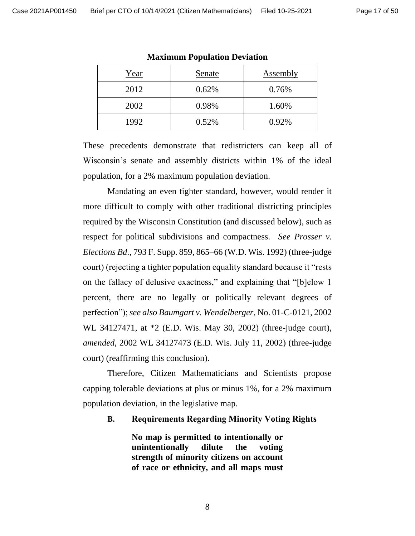| Year | Senate | Assembly |
|------|--------|----------|
| 2012 | 0.62%  | 0.76%    |
| 2002 | 0.98%  | 1.60%    |
| 1992 | 0.52%  | 0.92%    |

**Maximum Population Deviation**

These precedents demonstrate that redistricters can keep all of Wisconsin's senate and assembly districts within 1% of the ideal population, for a 2% maximum population deviation.

Mandating an even tighter standard, however, would render it more difficult to comply with other traditional districting principles required by the Wisconsin Constitution (and discussed below), such as respect for political subdivisions and compactness. *See Prosser v. Elections Bd*., 793 F. Supp. 859, 865–66 (W.D. Wis. 1992) (three-judge court) (rejecting a tighter population equality standard because it "rests on the fallacy of delusive exactness," and explaining that "[b]elow 1 percent, there are no legally or politically relevant degrees of perfection"); *see also Baumgart v. Wendelberger*, No. 01-C-0121, 2002 WL 34127471, at \*2 (E.D. Wis. May 30, 2002) (three-judge court), *amended*, 2002 WL 34127473 (E.D. Wis. July 11, 2002) (three-judge court) (reaffirming this conclusion).

Therefore, Citizen Mathematicians and Scientists propose capping tolerable deviations at plus or minus 1%, for a 2% maximum population deviation, in the legislative map.

<span id="page-16-0"></span>**B. Requirements Regarding Minority Voting Rights**

**No map is permitted to intentionally or unintentionally dilute the voting strength of minority citizens on account of race or ethnicity, and all maps must**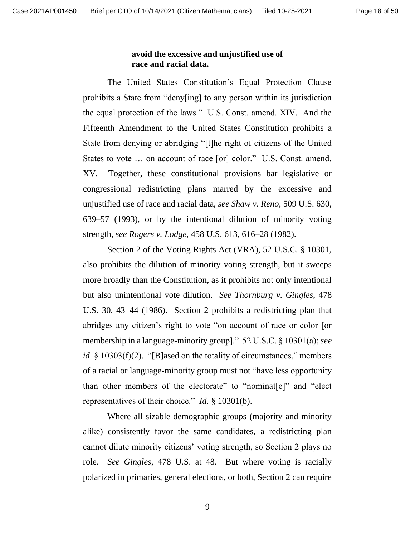#### **avoid the excessive and unjustified use of race and racial data.**

The United States Constitution's Equal Protection Clause prohibits a State from "deny[ing] to any person within its jurisdiction the equal protection of the laws." U.S. Const. amend. XIV. And the Fifteenth Amendment to the United States Constitution prohibits a State from denying or abridging "[t]he right of citizens of the United States to vote … on account of race [or] color." U.S. Const. amend. XV. Together, these constitutional provisions bar legislative or congressional redistricting plans marred by the excessive and unjustified use of race and racial data, *see Shaw v. Reno*, 509 U.S. 630, 639–57 (1993), or by the intentional dilution of minority voting strength, *see Rogers v. Lodge*, 458 U.S. 613, 616–28 (1982).

Section 2 of the Voting Rights Act (VRA), 52 U.S.C. § 10301, also prohibits the dilution of minority voting strength, but it sweeps more broadly than the Constitution, as it prohibits not only intentional but also unintentional vote dilution. *See Thornburg v. Gingles*, 478 U.S. 30, 43–44 (1986). Section 2 prohibits a redistricting plan that abridges any citizen's right to vote "on account of race or color [or membership in a language-minority group]." 52 U.S.C. § 10301(a); *see id*. § 10303(f)(2). "[B]ased on the totality of circumstances," members of a racial or language-minority group must not "have less opportunity than other members of the electorate" to "nominat[e]" and "elect representatives of their choice." *Id*. § 10301(b).

Where all sizable demographic groups (majority and minority alike) consistently favor the same candidates, a redistricting plan cannot dilute minority citizens' voting strength, so Section 2 plays no role. *See Gingles*, 478 U.S. at 48. But where voting is racially polarized in primaries, general elections, or both, Section 2 can require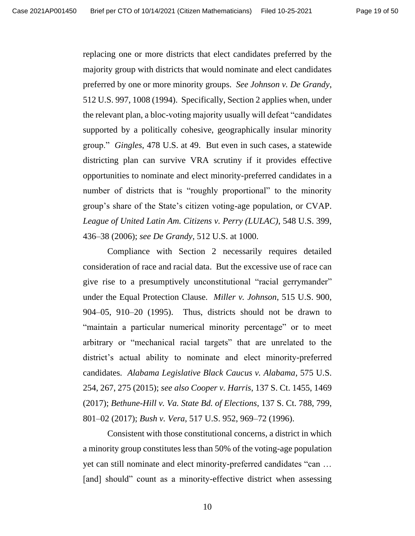replacing one or more districts that elect candidates preferred by the majority group with districts that would nominate and elect candidates preferred by one or more minority groups. *See Johnson v. De Grandy*, 512 U.S. 997, 1008 (1994). Specifically, Section 2 applies when, under the relevant plan, a bloc-voting majority usually will defeat "candidates supported by a politically cohesive, geographically insular minority group." *Gingles*, 478 U.S. at 49. But even in such cases, a statewide districting plan can survive VRA scrutiny if it provides effective opportunities to nominate and elect minority-preferred candidates in a number of districts that is "roughly proportional" to the minority group's share of the State's citizen voting-age population, or CVAP. *League of United Latin Am. Citizens v. Perry (LULAC)*, 548 U.S. 399, 436–38 (2006); *see De Grandy*, 512 U.S. at 1000.

Compliance with Section 2 necessarily requires detailed consideration of race and racial data. But the excessive use of race can give rise to a presumptively unconstitutional "racial gerrymander" under the Equal Protection Clause*. Miller v. Johnson*, 515 U.S. 900, 904–05, 910–20 (1995). Thus, districts should not be drawn to "maintain a particular numerical minority percentage" or to meet arbitrary or "mechanical racial targets" that are unrelated to the district's actual ability to nominate and elect minority-preferred candidates. *Alabama Legislative Black Caucus v. Alabama*, 575 U.S. 254, 267, 275 (2015); *see also Cooper v. Harris*, 137 S. Ct. 1455, 1469 (2017); *Bethune-Hill v. Va. State Bd. of Elections*, 137 S. Ct. 788, 799, 801–02 (2017); *Bush v. Vera*, 517 U.S. 952, 969–72 (1996).

Consistent with those constitutional concerns, a district in which a minority group constitutes less than 50% of the voting-age population yet can still nominate and elect minority-preferred candidates "can … [and] should" count as a minority-effective district when assessing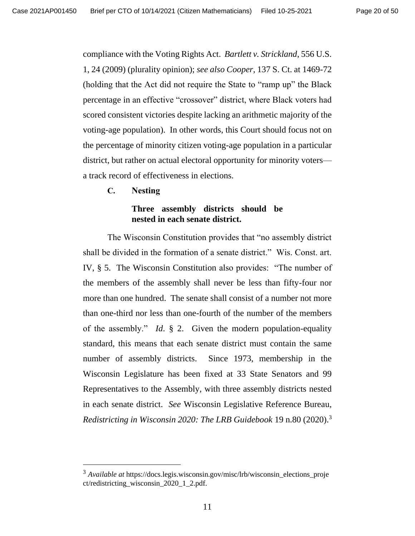compliance with the Voting Rights Act. *Bartlett v. Strickland*, 556 U.S. 1, 24 (2009) (plurality opinion); *see also Cooper*, 137 S. Ct. at 1469-72 (holding that the Act did not require the State to "ramp up" the Black percentage in an effective "crossover" district, where Black voters had scored consistent victories despite lacking an arithmetic majority of the voting-age population). In other words, this Court should focus not on the percentage of minority citizen voting-age population in a particular district, but rather on actual electoral opportunity for minority voters a track record of effectiveness in elections.

<span id="page-19-0"></span>**C. Nesting**

### **Three assembly districts should be nested in each senate district.**

The Wisconsin Constitution provides that "no assembly district shall be divided in the formation of a senate district." Wis. Const. art. IV, § 5. The Wisconsin Constitution also provides: "The number of the members of the assembly shall never be less than fifty-four nor more than one hundred. The senate shall consist of a number not more than one-third nor less than one-fourth of the number of the members of the assembly." *Id*. § 2. Given the modern population-equality standard, this means that each senate district must contain the same number of assembly districts. Since 1973, membership in the Wisconsin Legislature has been fixed at 33 State Senators and 99 Representatives to the Assembly, with three assembly districts nested in each senate district. *See* Wisconsin Legislative Reference Bureau, *Redistricting in Wisconsin 2020: The LRB Guidebook* 19 n.80 (2020). 3

<sup>3</sup> *Available at* [https://docs.legis.wisconsin.gov/misc/lrb/wisconsin\\_e](https://docs.legis.wisconsin.gov/misc/lrb/wisconsin_)lections\_proje ct/redistricting\_wisconsin\_2020\_1\_2.pdf.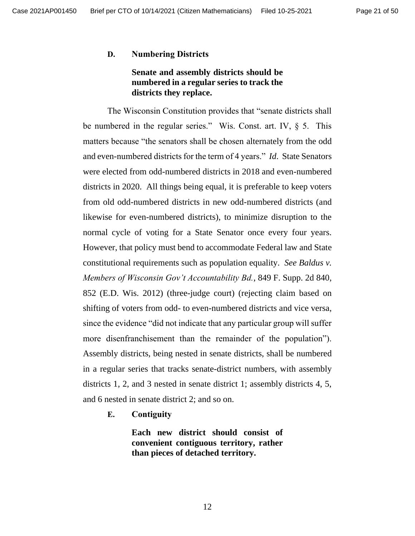#### <span id="page-20-0"></span>**D. Numbering Districts**

### **Senate and assembly districts should be numbered in a regular series to track the districts they replace.**

The Wisconsin Constitution provides that "senate districts shall be numbered in the regular series." Wis. Const. art. IV, § 5. This matters because "the senators shall be chosen alternately from the odd and even-numbered districts for the term of 4 years." *Id*. State Senators were elected from odd-numbered districts in 2018 and even-numbered districts in 2020. All things being equal, it is preferable to keep voters from old odd-numbered districts in new odd-numbered districts (and likewise for even-numbered districts), to minimize disruption to the normal cycle of voting for a State Senator once every four years. However, that policy must bend to accommodate Federal law and State constitutional requirements such as population equality. *See Baldus v. Members of Wisconsin Gov't Accountability Bd.*, 849 F. Supp. 2d 840, 852 (E.D. Wis. 2012) (three-judge court) (rejecting claim based on shifting of voters from odd- to even-numbered districts and vice versa, since the evidence "did not indicate that any particular group will suffer more disenfranchisement than the remainder of the population"). Assembly districts, being nested in senate districts, shall be numbered in a regular series that tracks senate-district numbers, with assembly districts 1, 2, and 3 nested in senate district 1; assembly districts 4, 5, and 6 nested in senate district 2; and so on.

<span id="page-20-1"></span>**E. Contiguity** 

**Each new district should consist of convenient contiguous territory, rather than pieces of detached territory.**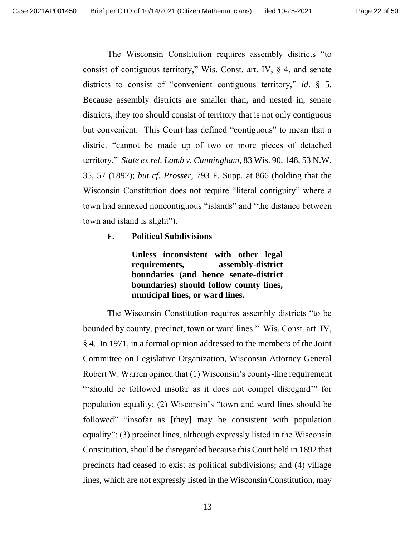The Wisconsin Constitution requires assembly districts "to consist of contiguous territory," Wis. Const. art. IV,  $\S$  4, and senate districts to consist of "convenient contiguous territory," *id*. § 5. Because assembly districts are smaller than, and nested in, senate districts, they too should consist of territory that is not only contiguous but convenient. This Court has defined "contiguous" to mean that a district "cannot be made up of two or more pieces of detached territory." *State ex rel. Lamb v. Cunningham*, 83 Wis. 90, 148, 53 N.W. 35, 57 (1892); *but cf. Prosser*, 793 F. Supp. at 866 (holding that the Wisconsin Constitution does not require "literal contiguity" where a town had annexed noncontiguous "islands" and "the distance between town and island is slight").

<span id="page-21-0"></span>**F. Political Subdivisions**

**Unless inconsistent with other legal requirements, assembly-district boundaries (and hence senate-district boundaries) should follow county lines, municipal lines, or ward lines.**

The Wisconsin Constitution requires assembly districts "to be bounded by county, precinct, town or ward lines." Wis. Const. art. IV, § 4. In 1971, in a formal opinion addressed to the members of the Joint Committee on Legislative Organization, Wisconsin Attorney General Robert W. Warren opined that (1) Wisconsin's county-line requirement "'should be followed insofar as it does not compel disregard'" for population equality; (2) Wisconsin's "town and ward lines should be followed" "insofar as [they] may be consistent with population equality"; (3) precinct lines, although expressly listed in the Wisconsin Constitution, should be disregarded because this Court held in 1892 that precincts had ceased to exist as political subdivisions; and (4) village lines, which are not expressly listed in the Wisconsin Constitution, may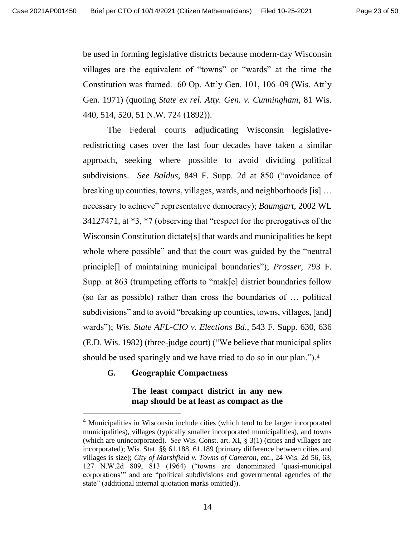be used in forming legislative districts because modern-day Wisconsin villages are the equivalent of "towns" or "wards" at the time the Constitution was framed. 60 Op. Att'y Gen. 101, 106–09 (Wis. Att'y Gen. 1971) (quoting *State ex rel. Atty. Gen. v. Cunningham*, 81 Wis. 440, 514, 520, 51 N.W. 724 (1892)).

The Federal courts adjudicating Wisconsin legislativeredistricting cases over the last four decades have taken a similar approach, seeking where possible to avoid dividing political subdivisions. *See Baldus*, 849 F. Supp. 2d at 850 ("avoidance of breaking up counties, towns, villages, wards, and neighborhoods [is] … necessary to achieve" representative democracy); *Baumgart,* 2002 WL 34127471, at \*3, \*7 (observing that "respect for the prerogatives of the Wisconsin Constitution dictate[s] that wards and municipalities be kept whole where possible" and that the court was guided by the "neutral" principle[] of maintaining municipal boundaries"); *Prosser*, 793 F. Supp. at 863 (trumpeting efforts to "mak[e] district boundaries follow (so far as possible) rather than cross the boundaries of … political subdivisions" and to avoid "breaking up counties, towns, villages, [and] wards"); *Wis. State AFL-CIO v. Elections Bd*., 543 F. Supp. 630, 636 (E.D. Wis. 1982) (three-judge court) ("We believe that municipal splits should be used sparingly and we have tried to do so in our plan.").<sup>4</sup>

#### <span id="page-22-0"></span>**G. Geographic Compactness**

### **The least compact district in any new map should be at least as compact as the**

<sup>&</sup>lt;sup>4</sup> Municipalities in Wisconsin include cities (which tend to be larger incorporated municipalities), villages (typically smaller incorporated municipalities), and towns (which are unincorporated). *See* Wis. Const. art. XI, § 3(1) (cities and villages are incorporated); Wis. Stat. §§ 61.188, 61.189 (primary difference between cities and villages is size); *City of Marshfield v. Towns of Cameron, etc.*, 24 Wis. 2d 56, 63, 127 N.W.2d 809, 813 (1964) ("towns are denominated 'quasi-municipal corporations'" and are "political subdivisions and governmental agencies of the state" (additional internal quotation marks omitted)).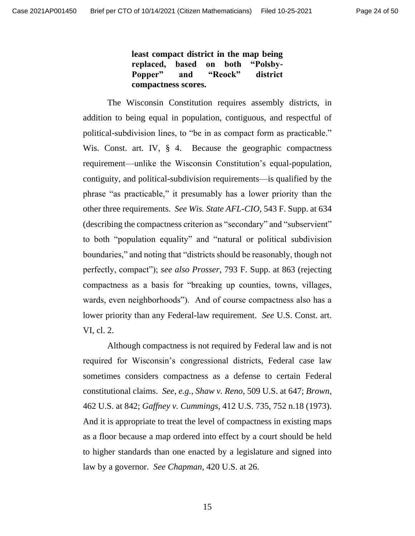**least compact district in the map being replaced, based on both "Polsby-Popper" and "Reock" district compactness scores.**

The Wisconsin Constitution requires assembly districts, in addition to being equal in population, contiguous, and respectful of political-subdivision lines, to "be in as compact form as practicable." Wis. Const. art. IV, § 4. Because the geographic compactness requirement—unlike the Wisconsin Constitution's equal-population, contiguity, and political-subdivision requirements—is qualified by the phrase "as practicable," it presumably has a lower priority than the other three requirements. *See Wis. State AFL-CIO*, 543 F. Supp. at 634 (describing the compactness criterion as "secondary" and "subservient" to both "population equality" and "natural or political subdivision boundaries," and noting that "districts should be reasonably, though not perfectly, compact"); *see also Prosser*, 793 F. Supp. at 863 (rejecting compactness as a basis for "breaking up counties, towns, villages, wards, even neighborhoods"). And of course compactness also has a lower priority than any Federal-law requirement. *See* U.S. Const. art. VI, cl. 2.

Although compactness is not required by Federal law and is not required for Wisconsin's congressional districts, Federal case law sometimes considers compactness as a defense to certain Federal constitutional claims. *See, e.g.*, *Shaw v. Reno*, 509 U.S. at 647; *Brown*, 462 U.S. at 842; *Gaffney v. Cummings*, 412 U.S. 735, 752 n.18 (1973). And it is appropriate to treat the level of compactness in existing maps as a floor because a map ordered into effect by a court should be held to higher standards than one enacted by a legislature and signed into law by a governor. *See Chapman*, 420 U.S. at 26.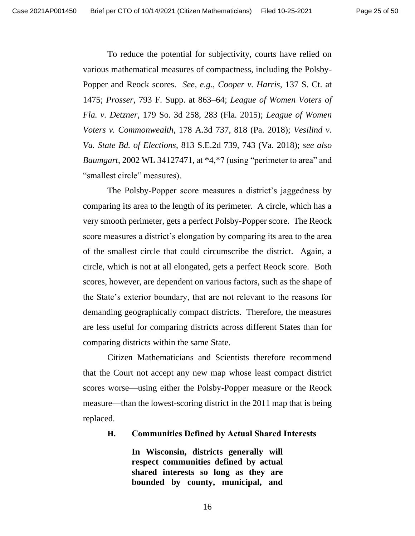To reduce the potential for subjectivity, courts have relied on various mathematical measures of compactness, including the Polsby-Popper and Reock scores. *See, e.g.*, *Cooper v. Harris*, 137 S. Ct. at 1475; *Prosser*, 793 F. Supp. at 863–64; *League of Women Voters of Fla. v. Detzner*, 179 So. 3d 258, 283 (Fla. 2015); *League of Women Voters v. Commonwealth*, 178 A.3d 737, 818 (Pa. 2018); *Vesilind v. Va. State Bd. of Elections*, 813 S.E.2d 739, 743 (Va. 2018); *see also Baumgart*, 2002 WL 34127471, at \*4,\*7 (using "perimeter to area" and "smallest circle" measures).

The Polsby-Popper score measures a district's jaggedness by comparing its area to the length of its perimeter. A circle, which has a very smooth perimeter, gets a perfect Polsby-Popper score. The Reock score measures a district's elongation by comparing its area to the area of the smallest circle that could circumscribe the district. Again, a circle, which is not at all elongated, gets a perfect Reock score. Both scores, however, are dependent on various factors, such as the shape of the State's exterior boundary, that are not relevant to the reasons for demanding geographically compact districts. Therefore, the measures are less useful for comparing districts across different States than for comparing districts within the same State.

Citizen Mathematicians and Scientists therefore recommend that the Court not accept any new map whose least compact district scores worse—using either the Polsby-Popper measure or the Reock measure—than the lowest-scoring district in the 2011 map that is being replaced.

#### <span id="page-24-0"></span>**H. Communities Defined by Actual Shared Interests**

**In Wisconsin, districts generally will respect communities defined by actual shared interests so long as they are bounded by county, municipal, and**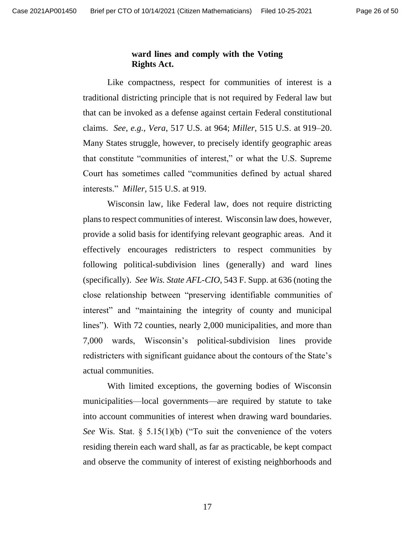#### **ward lines and comply with the Voting Rights Act.**

Like compactness, respect for communities of interest is a traditional districting principle that is not required by Federal law but that can be invoked as a defense against certain Federal constitutional claims. *See, e.g.*, *Vera*, 517 U.S. at 964; *Miller*, 515 U.S. at 919–20. Many States struggle, however, to precisely identify geographic areas that constitute "communities of interest," or what the U.S. Supreme Court has sometimes called "communities defined by actual shared interests." *Miller*, 515 U.S. at 919.

Wisconsin law, like Federal law, does not require districting plans to respect communities of interest. Wisconsin law does, however, provide a solid basis for identifying relevant geographic areas. And it effectively encourages redistricters to respect communities by following political-subdivision lines (generally) and ward lines (specifically). *See Wis. State AFL-CIO*, 543 F. Supp. at 636 (noting the close relationship between "preserving identifiable communities of interest" and "maintaining the integrity of county and municipal lines"). With 72 counties, nearly 2,000 municipalities, and more than 7,000 wards, Wisconsin's political-subdivision lines provide redistricters with significant guidance about the contours of the State's actual communities.

With limited exceptions, the governing bodies of Wisconsin municipalities—local governments—are required by statute to take into account communities of interest when drawing ward boundaries. *See* Wis. Stat. § 5.15(1)(b) ("To suit the convenience of the voters residing therein each ward shall, as far as practicable, be kept compact and observe the community of interest of existing neighborhoods and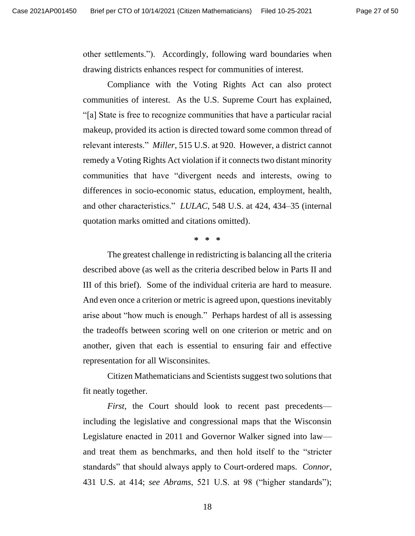other settlements."). Accordingly, following ward boundaries when drawing districts enhances respect for communities of interest.

Compliance with the Voting Rights Act can also protect communities of interest. As the U.S. Supreme Court has explained, "[a] State is free to recognize communities that have a particular racial makeup, provided its action is directed toward some common thread of relevant interests." *Miller*, 515 U.S. at 920. However, a district cannot remedy a Voting Rights Act violation if it connects two distant minority communities that have "divergent needs and interests, owing to differences in socio-economic status, education, employment, health, and other characteristics." *LULAC*, 548 U.S. at 424, 434–35 (internal quotation marks omitted and citations omitted).

#### **\* \* \***

The greatest challenge in redistricting is balancing all the criteria described above (as well as the criteria described below in Parts II and III of this brief). Some of the individual criteria are hard to measure. And even once a criterion or metric is agreed upon, questions inevitably arise about "how much is enough." Perhaps hardest of all is assessing the tradeoffs between scoring well on one criterion or metric and on another, given that each is essential to ensuring fair and effective representation for all Wisconsinites.

Citizen Mathematicians and Scientists suggest two solutions that fit neatly together.

*First*, the Court should look to recent past precedents including the legislative and congressional maps that the Wisconsin Legislature enacted in 2011 and Governor Walker signed into law and treat them as benchmarks, and then hold itself to the "stricter standards" that should always apply to Court-ordered maps. *Connor*, 431 U.S. at 414; *see Abrams*, 521 U.S. at 98 ("higher standards");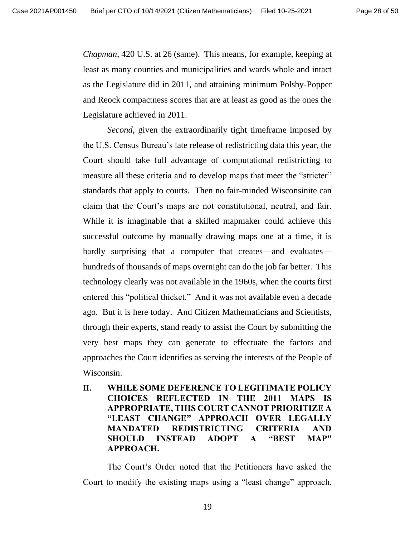*Chapman*, 420 U.S. at 26 (same). This means, for example, keeping at least as many counties and municipalities and wards whole and intact as the Legislature did in 2011, and attaining minimum Polsby-Popper and Reock compactness scores that are at least as good as the ones the Legislature achieved in 2011.

*Second*, given the extraordinarily tight timeframe imposed by the U.S. Census Bureau's late release of redistricting data this year, the Court should take full advantage of computational redistricting to measure all these criteria and to develop maps that meet the "stricter" standards that apply to courts. Then no fair-minded Wisconsinite can claim that the Court's maps are not constitutional, neutral, and fair. While it is imaginable that a skilled mapmaker could achieve this successful outcome by manually drawing maps one at a time, it is hardly surprising that a computer that creates—and evaluates hundreds of thousands of maps overnight can do the job far better. This technology clearly was not available in the 1960s, when the courts first entered this "political thicket." And it was not available even a decade ago. But it is here today. And Citizen Mathematicians and Scientists, through their experts, stand ready to assist the Court by submitting the very best maps they can generate to effectuate the factors and approaches the Court identifies as serving the interests of the People of Wisconsin.

<span id="page-27-0"></span>**II. WHILE SOME DEFERENCE TO LEGITIMATE POLICY CHOICES REFLECTED IN THE 2011 MAPS IS APPROPRIATE, THIS COURT CANNOT PRIORITIZE A "LEAST CHANGE" APPROACH OVER LEGALLY MANDATED REDISTRICTING CRITERIA AND SHOULD INSTEAD ADOPT A "BEST MAP" APPROACH.**

The Court's Order noted that the Petitioners have asked the Court to modify the existing maps using a "least change" approach.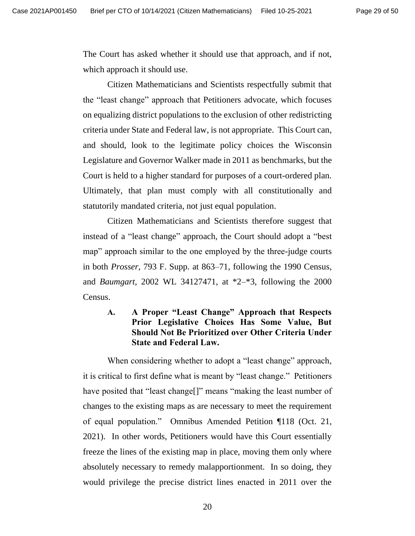The Court has asked whether it should use that approach, and if not, which approach it should use.

Citizen Mathematicians and Scientists respectfully submit that the "least change" approach that Petitioners advocate, which focuses on equalizing district populations to the exclusion of other redistricting criteria under State and Federal law, is not appropriate. This Court can, and should, look to the legitimate policy choices the Wisconsin Legislature and Governor Walker made in 2011 as benchmarks, but the Court is held to a higher standard for purposes of a court-ordered plan. Ultimately, that plan must comply with all constitutionally and statutorily mandated criteria, not just equal population.

Citizen Mathematicians and Scientists therefore suggest that instead of a "least change" approach, the Court should adopt a "best map" approach similar to the one employed by the three-judge courts in both *Prosser*, 793 F. Supp. at 863–71, following the 1990 Census, and *Baumgart*, 2002 WL 34127471, at \*2–\*3, following the 2000 Census.

<span id="page-28-0"></span>**A. A Proper "Least Change" Approach that Respects Prior Legislative Choices Has Some Value, But Should Not Be Prioritized over Other Criteria Under State and Federal Law.** 

When considering whether to adopt a "least change" approach, it is critical to first define what is meant by "least change." Petitioners have posited that "least change<sup>[]"</sup> means "making the least number of changes to the existing maps as are necessary to meet the requirement of equal population." Omnibus Amended Petition ¶118 (Oct. 21, 2021). In other words, Petitioners would have this Court essentially freeze the lines of the existing map in place, moving them only where absolutely necessary to remedy malapportionment. In so doing, they would privilege the precise district lines enacted in 2011 over the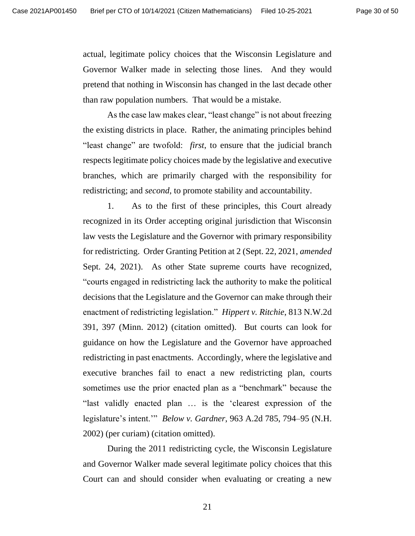actual, legitimate policy choices that the Wisconsin Legislature and Governor Walker made in selecting those lines. And they would pretend that nothing in Wisconsin has changed in the last decade other than raw population numbers. That would be a mistake.

As the case law makes clear, "least change" is not about freezing the existing districts in place. Rather, the animating principles behind "least change" are twofold: *first*, to ensure that the judicial branch respects legitimate policy choices made by the legislative and executive branches, which are primarily charged with the responsibility for redistricting; and *second*, to promote stability and accountability.

1. As to the first of these principles, this Court already recognized in its Order accepting original jurisdiction that Wisconsin law vests the Legislature and the Governor with primary responsibility for redistricting. Order Granting Petition at 2 (Sept. 22, 2021, *amended* Sept. 24, 2021). As other State supreme courts have recognized, "courts engaged in redistricting lack the authority to make the political decisions that the Legislature and the Governor can make through their enactment of redistricting legislation." *Hippert v. Ritchie*, 813 N.W.2d 391, 397 (Minn. 2012) (citation omitted). But courts can look for guidance on how the Legislature and the Governor have approached redistricting in past enactments. Accordingly, where the legislative and executive branches fail to enact a new redistricting plan, courts sometimes use the prior enacted plan as a "benchmark" because the "last validly enacted plan … is the 'clearest expression of the legislature's intent.'" *Below v. Gardner*, 963 A.2d 785, 794–95 (N.H. 2002) (per curiam) (citation omitted).

During the 2011 redistricting cycle, the Wisconsin Legislature and Governor Walker made several legitimate policy choices that this Court can and should consider when evaluating or creating a new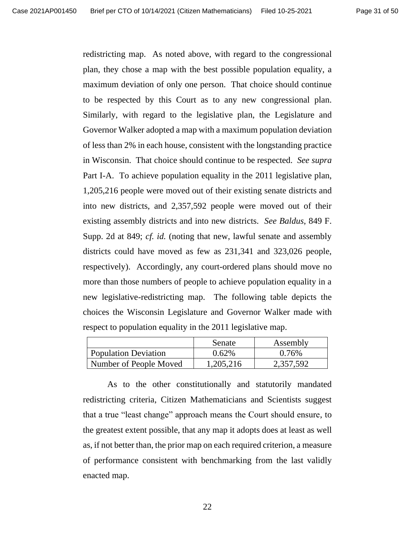redistricting map. As noted above, with regard to the congressional plan, they chose a map with the best possible population equality, a maximum deviation of only one person. That choice should continue to be respected by this Court as to any new congressional plan. Similarly, with regard to the legislative plan, the Legislature and Governor Walker adopted a map with a maximum population deviation of less than 2% in each house, consistent with the longstanding practice in Wisconsin. That choice should continue to be respected. *See supra*  Part I-A. To achieve population equality in the 2011 legislative plan, 1,205,216 people were moved out of their existing senate districts and into new districts, and 2,357,592 people were moved out of their existing assembly districts and into new districts. *See Baldus*, 849 F. Supp. 2d at 849; *cf. id.* (noting that new, lawful senate and assembly districts could have moved as few as 231,341 and 323,026 people, respectively). Accordingly, any court-ordered plans should move no more than those numbers of people to achieve population equality in a new legislative-redistricting map. The following table depicts the choices the Wisconsin Legislature and Governor Walker made with respect to population equality in the 2011 legislative map.

|                             | Senate    | Assembly  |
|-----------------------------|-----------|-----------|
| <b>Population Deviation</b> | 0.62%     | $0.76\%$  |
| Number of People Moved      | 1,205,216 | 2,357,592 |

As to the other constitutionally and statutorily mandated redistricting criteria, Citizen Mathematicians and Scientists suggest that a true "least change" approach means the Court should ensure, to the greatest extent possible, that any map it adopts does at least as well as, if not better than, the prior map on each required criterion, a measure of performance consistent with benchmarking from the last validly enacted map.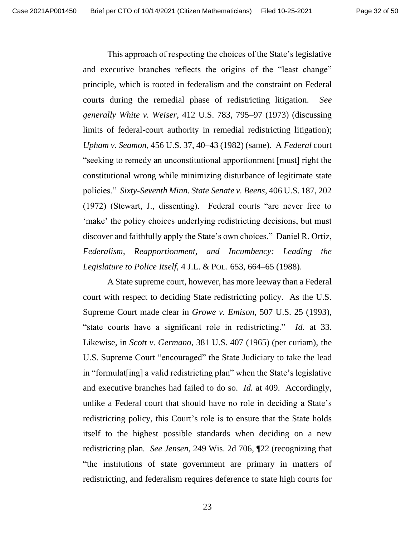This approach of respecting the choices of the State's legislative and executive branches reflects the origins of the "least change" principle, which is rooted in federalism and the constraint on Federal courts during the remedial phase of redistricting litigation. *See generally White v. Weiser*, 412 U.S. 783, 795–97 (1973) (discussing limits of federal-court authority in remedial redistricting litigation); *Upham v. Seamon*, 456 U.S. 37, 40–43 (1982) (same). A *Federal* court "seeking to remedy an unconstitutional apportionment [must] right the constitutional wrong while minimizing disturbance of legitimate state policies." *Sixty-Seventh Minn. State Senate v. Beens*, 406 U.S. 187, 202 (1972) (Stewart, J., dissenting). Federal courts "are never free to 'make' the policy choices underlying redistricting decisions, but must discover and faithfully apply the State's own choices." Daniel R. Ortiz, *Federalism, Reapportionment, and Incumbency: Leading the Legislature to Police Itself*, 4 J.L. & POL. 653, 664–65 (1988).

A State supreme court, however, has more leeway than a Federal court with respect to deciding State redistricting policy. As the U.S. Supreme Court made clear in *Growe v. Emison*, 507 U.S. 25 (1993), "state courts have a significant role in redistricting." *Id.* at 33. Likewise, in *Scott v. Germano*, 381 U.S. 407 (1965) (per curiam), the U.S. Supreme Court "encouraged" the State Judiciary to take the lead in "formulat[ing] a valid redistricting plan" when the State's legislative and executive branches had failed to do so. *Id.* at 409. Accordingly, unlike a Federal court that should have no role in deciding a State's redistricting policy, this Court's role is to ensure that the State holds itself to the highest possible standards when deciding on a new redistricting plan*. See Jensen*, 249 Wis. 2d 706, ¶22 (recognizing that "the institutions of state government are primary in matters of redistricting, and federalism requires deference to state high courts for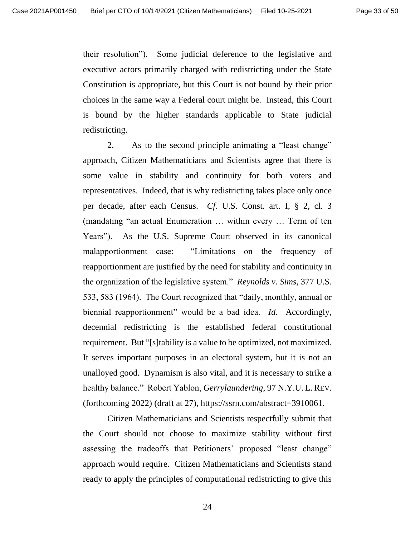their resolution"). Some judicial deference to the legislative and executive actors primarily charged with redistricting under the State Constitution is appropriate, but this Court is not bound by their prior choices in the same way a Federal court might be. Instead, this Court is bound by the higher standards applicable to State judicial redistricting.

2. As to the second principle animating a "least change" approach, Citizen Mathematicians and Scientists agree that there is some value in stability and continuity for both voters and representatives. Indeed, that is why redistricting takes place only once per decade, after each Census. *Cf.* U.S. Const. art. I, § 2, cl. 3 (mandating "an actual Enumeration … within every … Term of ten Years"). As the U.S. Supreme Court observed in its canonical malapportionment case: "Limitations on the frequency of reapportionment are justified by the need for stability and continuity in the organization of the legislative system." *Reynolds v. Sims*, 377 U.S. 533, 583 (1964). The Court recognized that "daily, monthly, annual or biennial reapportionment" would be a bad idea. *Id.* Accordingly, decennial redistricting is the established federal constitutional requirement. But "[s]tability is a value to be optimized, not maximized. It serves important purposes in an electoral system, but it is not an unalloyed good. Dynamism is also vital, and it is necessary to strike a healthy balance." Robert Yablon, *Gerrylaundering*, 97 N.Y.U. L. REV. (forthcoming 2022) (draft at 27), https://ssrn.com/abstract=3910061.

Citizen Mathematicians and Scientists respectfully submit that the Court should not choose to maximize stability without first assessing the tradeoffs that Petitioners' proposed "least change" approach would require. Citizen Mathematicians and Scientists stand ready to apply the principles of computational redistricting to give this

24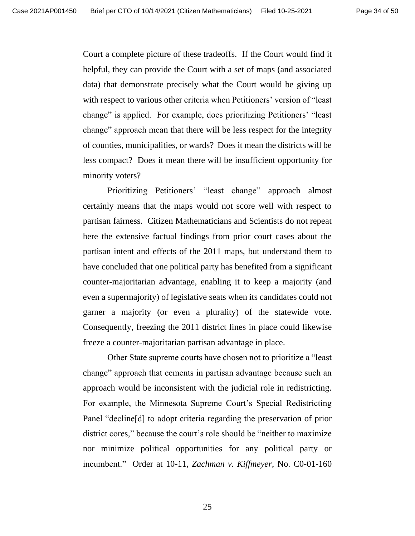Court a complete picture of these tradeoffs. If the Court would find it helpful, they can provide the Court with a set of maps (and associated data) that demonstrate precisely what the Court would be giving up with respect to various other criteria when Petitioners' version of "least change" is applied. For example, does prioritizing Petitioners' "least change" approach mean that there will be less respect for the integrity of counties, municipalities, or wards? Does it mean the districts will be less compact? Does it mean there will be insufficient opportunity for minority voters?

Prioritizing Petitioners' "least change" approach almost certainly means that the maps would not score well with respect to partisan fairness. Citizen Mathematicians and Scientists do not repeat here the extensive factual findings from prior court cases about the partisan intent and effects of the 2011 maps, but understand them to have concluded that one political party has benefited from a significant counter-majoritarian advantage, enabling it to keep a majority (and even a supermajority) of legislative seats when its candidates could not garner a majority (or even a plurality) of the statewide vote. Consequently, freezing the 2011 district lines in place could likewise freeze a counter-majoritarian partisan advantage in place.

Other State supreme courts have chosen not to prioritize a "least change" approach that cements in partisan advantage because such an approach would be inconsistent with the judicial role in redistricting. For example, the Minnesota Supreme Court's Special Redistricting Panel "decline[d] to adopt criteria regarding the preservation of prior district cores," because the court's role should be "neither to maximize nor minimize political opportunities for any political party or incumbent." Order at 10-11, *Zachman v. Kiffmeyer*, No. C0-01-160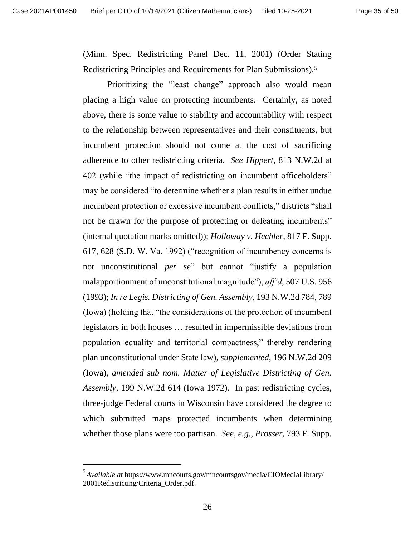(Minn. Spec. Redistricting Panel Dec. 11, 2001) (Order Stating Redistricting Principles and Requirements for Plan Submissions).<sup>5</sup>

Prioritizing the "least change" approach also would mean placing a high value on protecting incumbents. Certainly, as noted above, there is some value to stability and accountability with respect to the relationship between representatives and their constituents, but incumbent protection should not come at the cost of sacrificing adherence to other redistricting criteria. *See Hippert*, 813 N.W.2d at 402 (while "the impact of redistricting on incumbent officeholders" may be considered "to determine whether a plan results in either undue incumbent protection or excessive incumbent conflicts," districts "shall not be drawn for the purpose of protecting or defeating incumbents" (internal quotation marks omitted)); *Holloway v. Hechler*, 817 F. Supp. 617, 628 (S.D. W. Va. 1992) ("recognition of incumbency concerns is not unconstitutional *per se*" but cannot "justify a population malapportionment of unconstitutional magnitude"), *aff'd*, 507 U.S. 956 (1993); *In re Legis. Districting of Gen. Assembly*, 193 N.W.2d 784, 789 (Iowa) (holding that "the considerations of the protection of incumbent legislators in both houses … resulted in impermissible deviations from population equality and territorial compactness," thereby rendering plan unconstitutional under State law), *supplemented*, 196 N.W.2d 209 (Iowa), *amended sub nom. Matter of Legislative Districting of Gen. Assembly*, 199 N.W.2d 614 (Iowa 1972). In past redistricting cycles, three-judge Federal courts in Wisconsin have considered the degree to which submitted maps protected incumbents when determining whether those plans were too partisan. *See, e.g.*, *Prosser*, 793 F. Supp.

<sup>5</sup> *Available at* <https://www.mncourts.gov/mncourtsgov/media/CIOMediaLibrary/> 2001Redistricting/Criteria\_Order.pdf.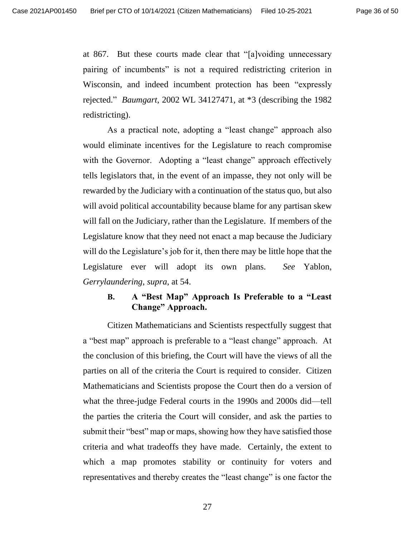at 867. But these courts made clear that "[a]voiding unnecessary pairing of incumbents" is not a required redistricting criterion in Wisconsin, and indeed incumbent protection has been "expressly rejected." *Baumgart*, 2002 WL 34127471, at \*3 (describing the 1982 redistricting).

As a practical note, adopting a "least change" approach also would eliminate incentives for the Legislature to reach compromise with the Governor. Adopting a "least change" approach effectively tells legislators that, in the event of an impasse, they not only will be rewarded by the Judiciary with a continuation of the status quo, but also will avoid political accountability because blame for any partisan skew will fall on the Judiciary, rather than the Legislature. If members of the Legislature know that they need not enact a map because the Judiciary will do the Legislature's job for it, then there may be little hope that the Legislature ever will adopt its own plans. *See* Yablon, *Gerrylaundering*, *supra*, at 54.

### <span id="page-35-0"></span>**B. A "Best Map" Approach Is Preferable to a "Least Change" Approach.**

Citizen Mathematicians and Scientists respectfully suggest that a "best map" approach is preferable to a "least change" approach. At the conclusion of this briefing, the Court will have the views of all the parties on all of the criteria the Court is required to consider. Citizen Mathematicians and Scientists propose the Court then do a version of what the three-judge Federal courts in the 1990s and 2000s did—tell the parties the criteria the Court will consider, and ask the parties to submit their "best" map or maps, showing how they have satisfied those criteria and what tradeoffs they have made. Certainly, the extent to which a map promotes stability or continuity for voters and representatives and thereby creates the "least change" is one factor the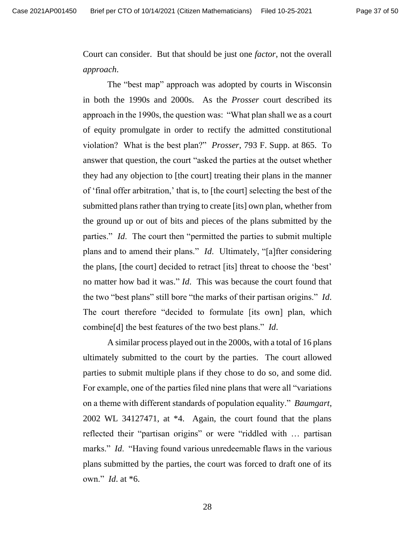Court can consider. But that should be just one *factor*, not the overall *approach*.

The "best map" approach was adopted by courts in Wisconsin in both the 1990s and 2000s. As the *Prosser* court described its approach in the 1990s, the question was: "What plan shall we as a court of equity promulgate in order to rectify the admitted constitutional violation? What is the best plan?" *Prosser*, 793 F. Supp. at 865. To answer that question, the court "asked the parties at the outset whether they had any objection to [the court] treating their plans in the manner of 'final offer arbitration,' that is, to [the court] selecting the best of the submitted plans rather than trying to create [its] own plan, whether from the ground up or out of bits and pieces of the plans submitted by the parties." *Id*. The court then "permitted the parties to submit multiple plans and to amend their plans." *Id*. Ultimately, "[a]fter considering the plans, [the court] decided to retract [its] threat to choose the 'best' no matter how bad it was." *Id*. This was because the court found that the two "best plans" still bore "the marks of their partisan origins." *Id*. The court therefore "decided to formulate [its own] plan, which combine[d] the best features of the two best plans." *Id*.

A similar process played out in the 2000s, with a total of 16 plans ultimately submitted to the court by the parties. The court allowed parties to submit multiple plans if they chose to do so, and some did. For example, one of the parties filed nine plans that were all "variations on a theme with different standards of population equality." *Baumgart*, 2002 WL 34127471, at \*4. Again, the court found that the plans reflected their "partisan origins" or were "riddled with … partisan marks." *Id*. "Having found various unredeemable flaws in the various plans submitted by the parties, the court was forced to draft one of its own." *Id*. at \*6.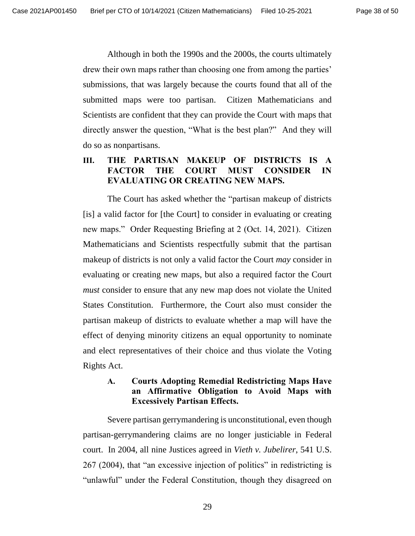Although in both the 1990s and the 2000s, the courts ultimately drew their own maps rather than choosing one from among the parties' submissions, that was largely because the courts found that all of the submitted maps were too partisan. Citizen Mathematicians and Scientists are confident that they can provide the Court with maps that directly answer the question, "What is the best plan?" And they will do so as nonpartisans.

### <span id="page-37-0"></span>**III. THE PARTISAN MAKEUP OF DISTRICTS IS A FACTOR THE COURT MUST CONSIDER IN EVALUATING OR CREATING NEW MAPS.**

The Court has asked whether the "partisan makeup of districts [is] a valid factor for [the Court] to consider in evaluating or creating new maps." Order Requesting Briefing at 2 (Oct. 14, 2021). Citizen Mathematicians and Scientists respectfully submit that the partisan makeup of districts is not only a valid factor the Court *may* consider in evaluating or creating new maps, but also a required factor the Court *must* consider to ensure that any new map does not violate the United States Constitution. Furthermore, the Court also must consider the partisan makeup of districts to evaluate whether a map will have the effect of denying minority citizens an equal opportunity to nominate and elect representatives of their choice and thus violate the Voting Rights Act.

### <span id="page-37-1"></span>**A. Courts Adopting Remedial Redistricting Maps Have an Affirmative Obligation to Avoid Maps with Excessively Partisan Effects.**

Severe partisan gerrymandering is unconstitutional, even though partisan-gerrymandering claims are no longer justiciable in Federal court. In 2004, all nine Justices agreed in *Vieth v. Jubelirer*, 541 U.S. 267 (2004), that "an excessive injection of politics" in redistricting is "unlawful" under the Federal Constitution, though they disagreed on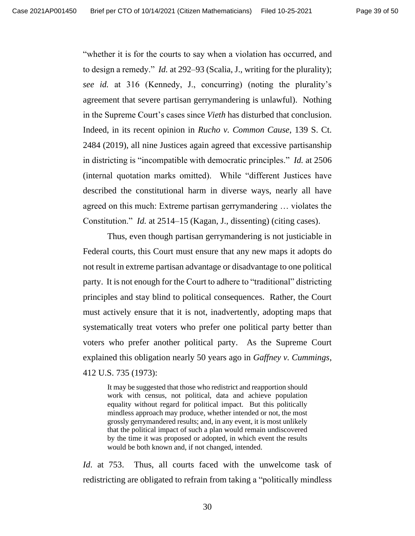"whether it is for the courts to say when a violation has occurred, and to design a remedy." *Id.* at 292–93 (Scalia, J., writing for the plurality); *see id.* at 316 (Kennedy, J., concurring) (noting the plurality's agreement that severe partisan gerrymandering is unlawful). Nothing in the Supreme Court's cases since *Vieth* has disturbed that conclusion. Indeed, in its recent opinion in *Rucho v. Common Cause*, 139 S. Ct. 2484 (2019), all nine Justices again agreed that excessive partisanship in districting is "incompatible with democratic principles." *Id.* at 2506 (internal quotation marks omitted). While "different Justices have described the constitutional harm in diverse ways, nearly all have agreed on this much: Extreme partisan gerrymandering … violates the Constitution." *Id.* at 2514–15 (Kagan, J., dissenting) (citing cases).

Thus, even though partisan gerrymandering is not justiciable in Federal courts, this Court must ensure that any new maps it adopts do not result in extreme partisan advantage or disadvantage to one political party. It is not enough for the Court to adhere to "traditional" districting principles and stay blind to political consequences. Rather, the Court must actively ensure that it is not, inadvertently, adopting maps that systematically treat voters who prefer one political party better than voters who prefer another political party. As the Supreme Court explained this obligation nearly 50 years ago in *Gaffney v. Cummings*, 412 U.S. 735 (1973):

It may be suggested that those who redistrict and reapportion should work with census, not political, data and achieve population equality without regard for political impact. But this politically mindless approach may produce, whether intended or not, the most grossly gerrymandered results; and, in any event, it is most unlikely that the political impact of such a plan would remain undiscovered by the time it was proposed or adopted, in which event the results would be both known and, if not changed, intended.

*Id*. at 753. Thus, all courts faced with the unwelcome task of redistricting are obligated to refrain from taking a "politically mindless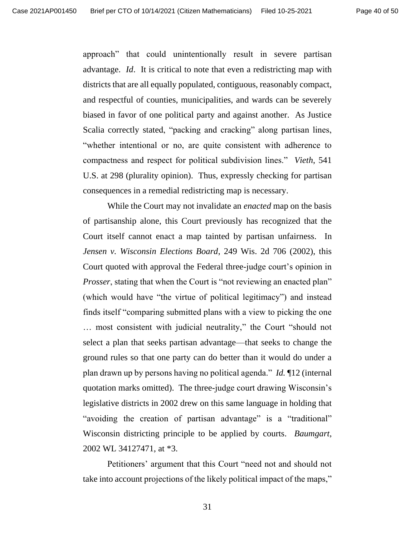approach" that could unintentionally result in severe partisan advantage. *Id*. It is critical to note that even a redistricting map with districts that are all equally populated, contiguous, reasonably compact, and respectful of counties, municipalities, and wards can be severely biased in favor of one political party and against another. As Justice Scalia correctly stated, "packing and cracking" along partisan lines, "whether intentional or no, are quite consistent with adherence to compactness and respect for political subdivision lines." *Vieth*, 541 U.S. at 298 (plurality opinion). Thus, expressly checking for partisan consequences in a remedial redistricting map is necessary.

While the Court may not invalidate an *enacted* map on the basis of partisanship alone, this Court previously has recognized that the Court itself cannot enact a map tainted by partisan unfairness. In *Jensen v. Wisconsin Elections Board*, 249 Wis. 2d 706 (2002), this Court quoted with approval the Federal three-judge court's opinion in *Prosser*, stating that when the Court is "not reviewing an enacted plan" (which would have "the virtue of political legitimacy") and instead finds itself "comparing submitted plans with a view to picking the one … most consistent with judicial neutrality," the Court "should not select a plan that seeks partisan advantage—that seeks to change the ground rules so that one party can do better than it would do under a plan drawn up by persons having no political agenda." *Id.* ¶12 (internal quotation marks omitted). The three-judge court drawing Wisconsin's legislative districts in 2002 drew on this same language in holding that "avoiding the creation of partisan advantage" is a "traditional" Wisconsin districting principle to be applied by courts. *Baumgart*, 2002 WL 34127471, at \*3.

Petitioners' argument that this Court "need not and should not take into account projections of the likely political impact of the maps,"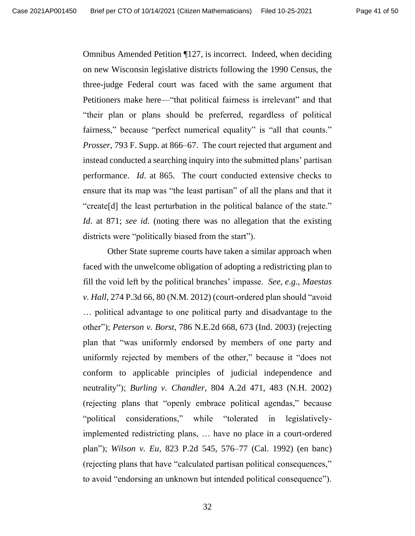Omnibus Amended Petition ¶127, is incorrect. Indeed, when deciding on new Wisconsin legislative districts following the 1990 Census, the three-judge Federal court was faced with the same argument that Petitioners make here—"that political fairness is irrelevant" and that "their plan or plans should be preferred, regardless of political fairness," because "perfect numerical equality" is "all that counts." *Prosser*, 793 F. Supp. at 866–67. The court rejected that argument and instead conducted a searching inquiry into the submitted plans' partisan performance. *Id*. at 865. The court conducted extensive checks to ensure that its map was "the least partisan" of all the plans and that it "create[d] the least perturbation in the political balance of the state." *Id*. at 871; *see id.* (noting there was no allegation that the existing districts were "politically biased from the start").

Other State supreme courts have taken a similar approach when faced with the unwelcome obligation of adopting a redistricting plan to fill the void left by the political branches' impasse. *See, e.g.*, *Maestas v. Hall*, 274 P.3d 66, 80 (N.M. 2012) (court-ordered plan should "avoid … political advantage to one political party and disadvantage to the other"); *Peterson v. Borst*, 786 N.E.2d 668, 673 (Ind. 2003) (rejecting plan that "was uniformly endorsed by members of one party and uniformly rejected by members of the other," because it "does not conform to applicable principles of judicial independence and neutrality"); *Burling v. Chandler*, 804 A.2d 471, 483 (N.H. 2002) (rejecting plans that "openly embrace political agendas," because "political considerations," while "tolerated in legislativelyimplemented redistricting plans, … have no place in a court-ordered plan"); *Wilson v. Eu*, 823 P.2d 545, 576–77 (Cal. 1992) (en banc) (rejecting plans that have "calculated partisan political consequences," to avoid "endorsing an unknown but intended political consequence").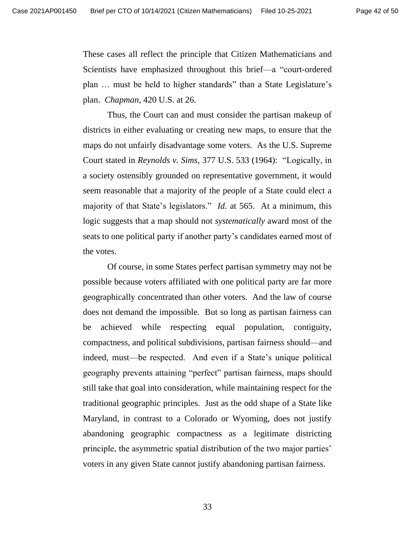These cases all reflect the principle that Citizen Mathematicians and Scientists have emphasized throughout this brief—a "court-ordered plan … must be held to higher standards" than a State Legislature's plan. *Chapman*, 420 U.S. at 26.

Thus, the Court can and must consider the partisan makeup of districts in either evaluating or creating new maps, to ensure that the maps do not unfairly disadvantage some voters. As the U.S. Supreme Court stated in *Reynolds v. Sims*, 377 U.S. 533 (1964): "Logically, in a society ostensibly grounded on representative government, it would seem reasonable that a majority of the people of a State could elect a majority of that State's legislators." *Id.* at 565. At a minimum, this logic suggests that a map should not *systematically* award most of the seats to one political party if another party's candidates earned most of the votes.

Of course, in some States perfect partisan symmetry may not be possible because voters affiliated with one political party are far more geographically concentrated than other voters. And the law of course does not demand the impossible. But so long as partisan fairness can be achieved while respecting equal population, contiguity, compactness, and political subdivisions, partisan fairness should—and indeed, must—be respected. And even if a State's unique political geography prevents attaining "perfect" partisan fairness, maps should still take that goal into consideration, while maintaining respect for the traditional geographic principles. Just as the odd shape of a State like Maryland, in contrast to a Colorado or Wyoming, does not justify abandoning geographic compactness as a legitimate districting principle, the asymmetric spatial distribution of the two major parties' voters in any given State cannot justify abandoning partisan fairness.

33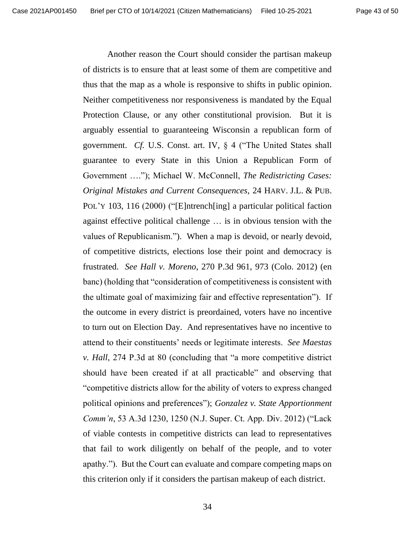Another reason the Court should consider the partisan makeup of districts is to ensure that at least some of them are competitive and thus that the map as a whole is responsive to shifts in public opinion. Neither competitiveness nor responsiveness is mandated by the Equal Protection Clause, or any other constitutional provision. But it is arguably essential to guaranteeing Wisconsin a republican form of government. *Cf.* U.S. Const. art. IV, § 4 ("The United States shall guarantee to every State in this Union a Republican Form of Government …."); Michael W. McConnell, *The Redistricting Cases: Original Mistakes and Current Consequences*, 24 HARV. J.L. & PUB. POL'Y 103, 116 (2000) ("[E]ntrench<sup>[ing]</sup> a particular political faction against effective political challenge … is in obvious tension with the values of Republicanism."). When a map is devoid, or nearly devoid, of competitive districts, elections lose their point and democracy is frustrated. *See Hall v. Moreno*, 270 P.3d 961, 973 (Colo. 2012) (en banc) (holding that "consideration of competitiveness is consistent with the ultimate goal of maximizing fair and effective representation"). If the outcome in every district is preordained, voters have no incentive to turn out on Election Day. And representatives have no incentive to attend to their constituents' needs or legitimate interests. *See Maestas v. Hall*, 274 P.3d at 80 (concluding that "a more competitive district should have been created if at all practicable" and observing that "competitive districts allow for the ability of voters to express changed political opinions and preferences"); *Gonzalez v. State Apportionment Comm'n*, 53 A.3d 1230, 1250 (N.J. Super. Ct. App. Div. 2012) ("Lack of viable contests in competitive districts can lead to representatives that fail to work diligently on behalf of the people, and to voter apathy."). But the Court can evaluate and compare competing maps on this criterion only if it considers the partisan makeup of each district.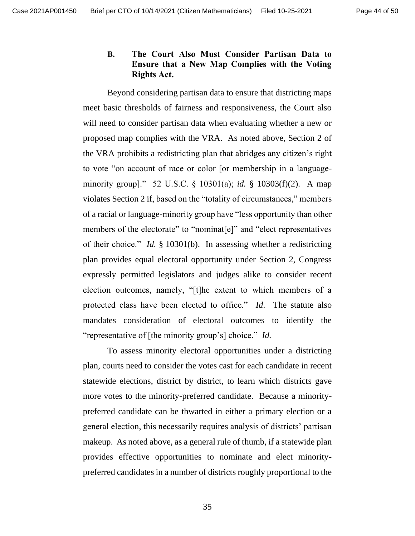### <span id="page-43-0"></span>**B. The Court Also Must Consider Partisan Data to Ensure that a New Map Complies with the Voting Rights Act.**

Beyond considering partisan data to ensure that districting maps meet basic thresholds of fairness and responsiveness, the Court also will need to consider partisan data when evaluating whether a new or proposed map complies with the VRA. As noted above, Section 2 of the VRA prohibits a redistricting plan that abridges any citizen's right to vote "on account of race or color [or membership in a languageminority group]." 52 U.S.C. § 10301(a); *id.* § 10303(f)(2). A map violates Section 2 if, based on the "totality of circumstances," members of a racial or language-minority group have "less opportunity than other members of the electorate" to "nominat<sup>[e]"</sup> and "elect representatives of their choice." *Id.* § 10301(b). In assessing whether a redistricting plan provides equal electoral opportunity under Section 2, Congress expressly permitted legislators and judges alike to consider recent election outcomes, namely, "[t]he extent to which members of a protected class have been elected to office." *Id*. The statute also mandates consideration of electoral outcomes to identify the "representative of [the minority group's] choice." *Id.*

To assess minority electoral opportunities under a districting plan, courts need to consider the votes cast for each candidate in recent statewide elections, district by district, to learn which districts gave more votes to the minority-preferred candidate. Because a minoritypreferred candidate can be thwarted in either a primary election or a general election, this necessarily requires analysis of districts' partisan makeup. As noted above, as a general rule of thumb, if a statewide plan provides effective opportunities to nominate and elect minoritypreferred candidates in a number of districts roughly proportional to the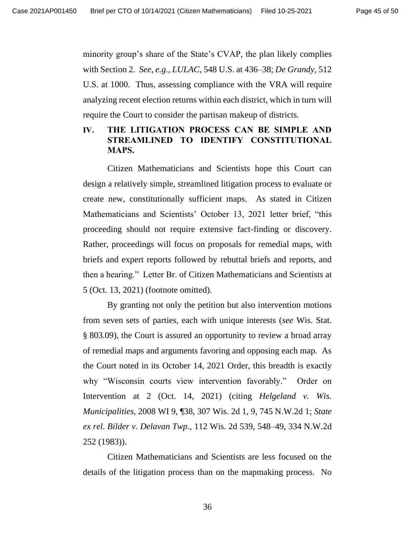minority group's share of the State's CVAP, the plan likely complies with Section 2. *See, e.g.*, *LULAC*, 548 U.S. at 436–38; *De Grandy*, 512 U.S. at 1000. Thus, assessing compliance with the VRA will require analyzing recent election returns within each district, which in turn will require the Court to consider the partisan makeup of districts.

# <span id="page-44-0"></span>**IV. THE LITIGATION PROCESS CAN BE SIMPLE AND STREAMLINED TO IDENTIFY CONSTITUTIONAL MAPS.**

Citizen Mathematicians and Scientists hope this Court can design a relatively simple, streamlined litigation process to evaluate or create new, constitutionally sufficient maps. As stated in Citizen Mathematicians and Scientists' October 13, 2021 letter brief, "this proceeding should not require extensive fact-finding or discovery. Rather, proceedings will focus on proposals for remedial maps, with briefs and expert reports followed by rebuttal briefs and reports, and then a hearing." Letter Br. of Citizen Mathematicians and Scientists at 5 (Oct. 13, 2021) (footnote omitted).

By granting not only the petition but also intervention motions from seven sets of parties, each with unique interests (*see* Wis. Stat. § 803.09), the Court is assured an opportunity to review a broad array of remedial maps and arguments favoring and opposing each map. As the Court noted in its October 14, 2021 Order, this breadth is exactly why "Wisconsin courts view intervention favorably." Order on Intervention at 2 (Oct. 14, 2021) (citing *Helgeland v. Wis. Municipalities*, 2008 WI 9, ¶38, 307 Wis. 2d 1, 9, 745 N.W.2d 1; *State ex rel. Bilder v. Delavan Twp*., 112 Wis. 2d 539, 548–49, 334 N.W.2d 252 (1983)).

Citizen Mathematicians and Scientists are less focused on the details of the litigation process than on the mapmaking process. No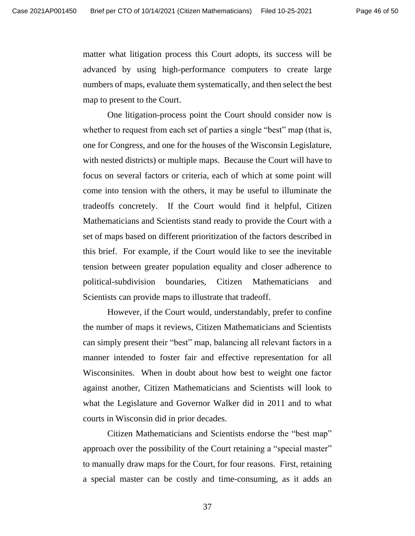matter what litigation process this Court adopts, its success will be advanced by using high-performance computers to create large numbers of maps, evaluate them systematically, and then select the best map to present to the Court.

One litigation-process point the Court should consider now is whether to request from each set of parties a single "best" map (that is, one for Congress, and one for the houses of the Wisconsin Legislature, with nested districts) or multiple maps. Because the Court will have to focus on several factors or criteria, each of which at some point will come into tension with the others, it may be useful to illuminate the tradeoffs concretely. If the Court would find it helpful, Citizen Mathematicians and Scientists stand ready to provide the Court with a set of maps based on different prioritization of the factors described in this brief. For example, if the Court would like to see the inevitable tension between greater population equality and closer adherence to political-subdivision boundaries, Citizen Mathematicians and Scientists can provide maps to illustrate that tradeoff.

However, if the Court would, understandably, prefer to confine the number of maps it reviews, Citizen Mathematicians and Scientists can simply present their "best" map, balancing all relevant factors in a manner intended to foster fair and effective representation for all Wisconsinites. When in doubt about how best to weight one factor against another, Citizen Mathematicians and Scientists will look to what the Legislature and Governor Walker did in 2011 and to what courts in Wisconsin did in prior decades.

Citizen Mathematicians and Scientists endorse the "best map" approach over the possibility of the Court retaining a "special master" to manually draw maps for the Court, for four reasons. First, retaining a special master can be costly and time-consuming, as it adds an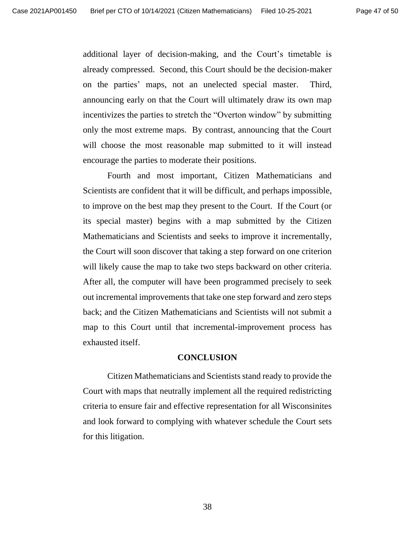additional layer of decision-making, and the Court's timetable is already compressed. Second, this Court should be the decision-maker on the parties' maps, not an unelected special master. Third, announcing early on that the Court will ultimately draw its own map incentivizes the parties to stretch the "Overton window" by submitting only the most extreme maps. By contrast, announcing that the Court will choose the most reasonable map submitted to it will instead encourage the parties to moderate their positions.

Fourth and most important, Citizen Mathematicians and Scientists are confident that it will be difficult, and perhaps impossible, to improve on the best map they present to the Court. If the Court (or its special master) begins with a map submitted by the Citizen Mathematicians and Scientists and seeks to improve it incrementally, the Court will soon discover that taking a step forward on one criterion will likely cause the map to take two steps backward on other criteria. After all, the computer will have been programmed precisely to seek out incremental improvements that take one step forward and zero steps back; and the Citizen Mathematicians and Scientists will not submit a map to this Court until that incremental-improvement process has exhausted itself.

#### **CONCLUSION**

<span id="page-46-0"></span>Citizen Mathematicians and Scientists stand ready to provide the Court with maps that neutrally implement all the required redistricting criteria to ensure fair and effective representation for all Wisconsinites and look forward to complying with whatever schedule the Court sets for this litigation.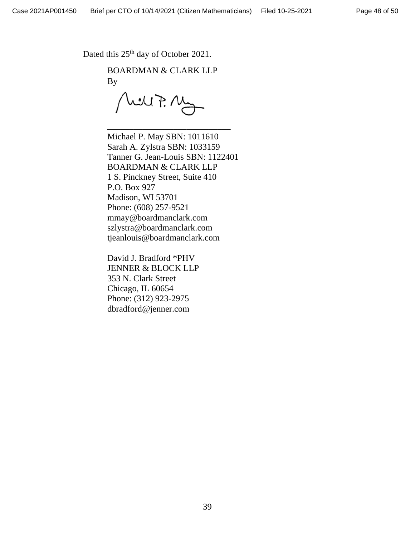Dated this  $25<sup>th</sup>$  day of October 2021.

BOARDMAN & CLARK LLP By

WUF. My

\_\_\_\_\_\_\_\_\_\_\_\_\_\_\_\_\_\_\_\_\_\_\_\_\_\_\_\_

Michael P. May SBN: 1011610 Sarah A. Zylstra SBN: 1033159 Tanner G. Jean-Louis SBN: 1122401 BOARDMAN & CLARK LLP 1 S. Pinckney Street, Suite 410 P.O. Box 927 Madison, WI 53701 Phone: (608) 257-9521 mmay@boardmanclark.com szlystra@boardmanclark.com tjeanlouis@boardmanclark.com

David J. Bradford \*PHV JENNER & BLOCK LLP 353 N. Clark Street Chicago, IL 60654 Phone: (312) 923-2975 dbradford@jenner.com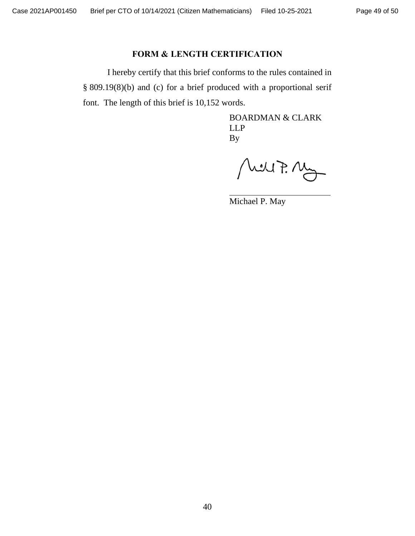## **FORM & LENGTH CERTIFICATION**

I hereby certify that this brief conforms to the rules contained in § 809.19(8)(b) and (c) for a brief produced with a proportional serif font. The length of this brief is 10,152 words.

> BOARDMAN & CLARK LLP By

Mill7. Mg

Michael P. May